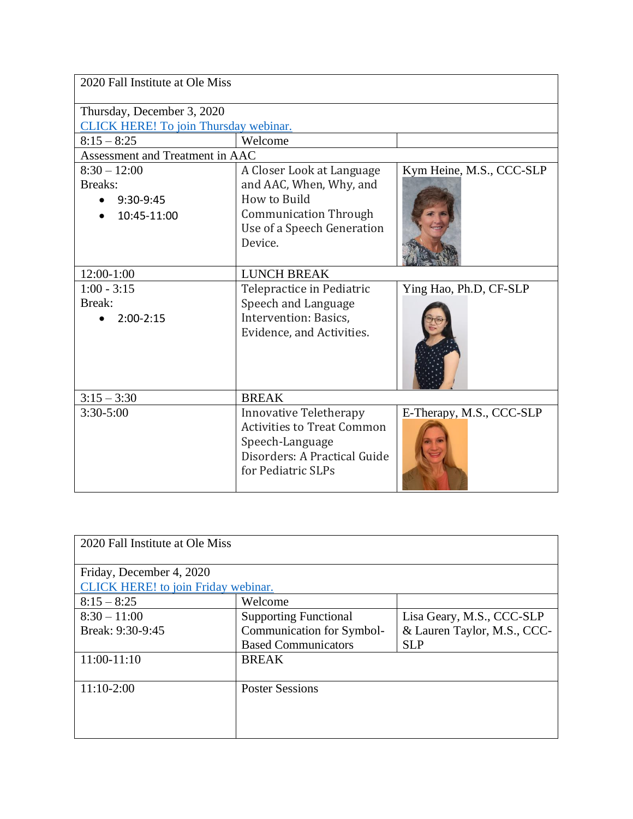| 2020 Fall Institute at Ole Miss       |                                   |                          |  |
|---------------------------------------|-----------------------------------|--------------------------|--|
| Thursday, December 3, 2020            |                                   |                          |  |
| CLICK HERE! To join Thursday webinar. |                                   |                          |  |
| $8:15 - 8:25$                         | Welcome                           |                          |  |
| Assessment and Treatment in AAC       |                                   |                          |  |
| $8:30 - 12:00$                        | A Closer Look at Language         | Kym Heine, M.S., CCC-SLP |  |
| Breaks:                               | and AAC, When, Why, and           |                          |  |
| 9:30-9:45                             | How to Build                      |                          |  |
| 10:45-11:00                           | <b>Communication Through</b>      |                          |  |
|                                       | Use of a Speech Generation        |                          |  |
|                                       | Device.                           |                          |  |
| $12:00-1:00$                          | <b>LUNCH BREAK</b>                |                          |  |
| $1:00 - 3:15$                         | Telepractice in Pediatric         | Ying Hao, Ph.D, CF-SLP   |  |
| Break:                                | Speech and Language               |                          |  |
| $2:00-2:15$                           | Intervention: Basics,             |                          |  |
|                                       | Evidence, and Activities.         |                          |  |
|                                       |                                   |                          |  |
|                                       |                                   |                          |  |
|                                       |                                   |                          |  |
| $3:15 - 3:30$                         | <b>BREAK</b>                      |                          |  |
| $3:30 - 5:00$                         | <b>Innovative Teletherapy</b>     | E-Therapy, M.S., CCC-SLP |  |
|                                       | <b>Activities to Treat Common</b> |                          |  |
|                                       | Speech-Language                   |                          |  |
|                                       | Disorders: A Practical Guide      |                          |  |
|                                       | for Pediatric SLPs                |                          |  |
|                                       |                                   |                          |  |

| 2020 Fall Institute at Ole Miss     |                              |                             |  |
|-------------------------------------|------------------------------|-----------------------------|--|
| Friday, December 4, 2020            |                              |                             |  |
| CLICK HERE! to join Friday webinar. |                              |                             |  |
| $8:15 - 8:25$                       | Welcome                      |                             |  |
| $8:30 - 11:00$                      | <b>Supporting Functional</b> | Lisa Geary, M.S., CCC-SLP   |  |
| Break: 9:30-9:45                    | Communication for Symbol-    | & Lauren Taylor, M.S., CCC- |  |
|                                     | <b>Based Communicators</b>   | <b>SLP</b>                  |  |
| 11:00-11:10                         | <b>BREAK</b>                 |                             |  |
|                                     |                              |                             |  |
| $11:10-2:00$                        | <b>Poster Sessions</b>       |                             |  |
|                                     |                              |                             |  |
|                                     |                              |                             |  |
|                                     |                              |                             |  |